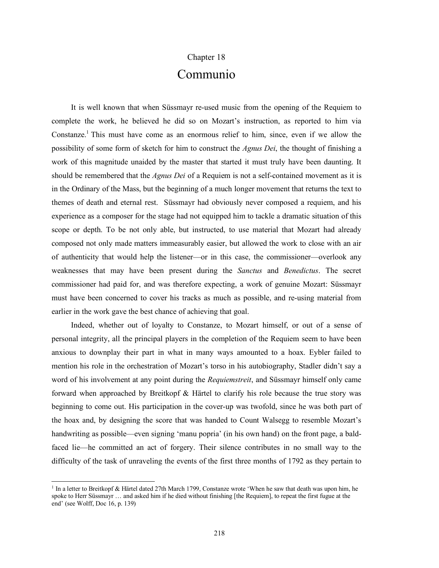## Chapter 18

## Communio

It is well known that when Süssmayr re-used music from the opening of the Requiem to complete the work, he believed he did so on Mozart's instruction, as reported to him via Constanze.<sup>1</sup> This must have come as an enormous relief to him, since, even if we allow the possibility of some form of sketch for him to construct the *Agnus Dei*, the thought of finishing a work of this magnitude unaided by the master that started it must truly have been daunting. It should be remembered that the *Agnus Dei* of a Requiem is not a self-contained movement as it is in the Ordinary of the Mass, but the beginning of a much longer movement that returns the text to themes of death and eternal rest. Süssmayr had obviously never composed a requiem, and his experience as a composer for the stage had not equipped him to tackle a dramatic situation of this scope or depth. To be not only able, but instructed, to use material that Mozart had already composed not only made matters immeasurably easier, but allowed the work to close with an air of authenticity that would help the listener—or in this case, the commissioner—overlook any weaknesses that may have been present during the *Sanctus* and *Benedictus*. The secret commissioner had paid for, and was therefore expecting, a work of genuine Mozart: Süssmayr must have been concerned to cover his tracks as much as possible, and re-using material from earlier in the work gave the best chance of achieving that goal.

Indeed, whether out of loyalty to Constanze, to Mozart himself, or out of a sense of personal integrity, all the principal players in the completion of the Requiem seem to have been anxious to downplay their part in what in many ways amounted to a hoax. Eybler failed to mention his role in the orchestration of Mozart's torso in his autobiography, Stadler didn't say a word of his involvement at any point during the *Requiemstreit*, and Süssmayr himself only came forward when approached by Breitkopf & Härtel to clarify his role because the true story was beginning to come out. His participation in the cover-up was twofold, since he was both part of the hoax and, by designing the score that was handed to Count Walsegg to resemble Mozart's handwriting as possible—even signing 'manu popria' (in his own hand) on the front page, a baldfaced lie—he committed an act of forgery. Their silence contributes in no small way to the difficulty of the task of unraveling the events of the first three months of 1792 as they pertain to

l

<sup>&</sup>lt;sup>1</sup> In a letter to Breitkopf & Härtel dated 27th March 1799, Constanze wrote 'When he saw that death was upon him, he spoke to Herr Süssmayr … and asked him if he died without finishing [the Requiem], to repeat the first fugue at the end' (see Wolff, Doc 16, p. 139)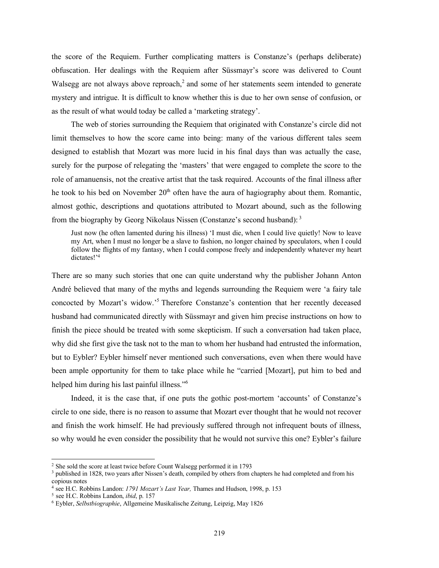the score of the Requiem. Further complicating matters is Constanze's (perhaps deliberate) obfuscation. Her dealings with the Requiem after Süssmayr's score was delivered to Count Walsegg are not always above reproach, $2$  and some of her statements seem intended to generate mystery and intrigue. It is difficult to know whether this is due to her own sense of confusion, or as the result of what would today be called a 'marketing strategy'.

The web of stories surrounding the Requiem that originated with Constanze's circle did not limit themselves to how the score came into being: many of the various different tales seem designed to establish that Mozart was more lucid in his final days than was actually the case, surely for the purpose of relegating the 'masters' that were engaged to complete the score to the role of amanuensis, not the creative artist that the task required. Accounts of the final illness after he took to his bed on November  $20<sup>th</sup>$  often have the aura of hagiography about them. Romantic, almost gothic, descriptions and quotations attributed to Mozart abound, such as the following from the biography by Georg Nikolaus Nissen (Constanze's second husband): <sup>3</sup>

Just now (he often lamented during his illness) 'I must die, when I could live quietly! Now to leave my Art, when I must no longer be a slave to fashion, no longer chained by speculators, when I could follow the flights of my fantasy, when I could compose freely and independently whatever my heart dictates!<sup>24</sup>

There are so many such stories that one can quite understand why the publisher Johann Anton André believed that many of the myths and legends surrounding the Requiem were 'a fairy tale concocted by Mozart's widow.' <sup>5</sup> Therefore Constanze's contention that her recently deceased husband had communicated directly with Süssmayr and given him precise instructions on how to finish the piece should be treated with some skepticism. If such a conversation had taken place, why did she first give the task not to the man to whom her husband had entrusted the information, but to Eybler? Eybler himself never mentioned such conversations, even when there would have been ample opportunity for them to take place while he "carried [Mozart], put him to bed and helped him during his last painful illness."<sup>6</sup>

Indeed, it is the case that, if one puts the gothic post-mortem 'accounts' of Constanze's circle to one side, there is no reason to assume that Mozart ever thought that he would not recover and finish the work himself. He had previously suffered through not infrequent bouts of illness, so why would he even consider the possibility that he would not survive this one? Eybler's failure

l

<sup>2</sup> She sold the score at least twice before Count Walsegg performed it in 1793

<sup>&</sup>lt;sup>3</sup> published in 1828, two years after Nissen's death, compiled by others from chapters he had completed and from his copious notes

<sup>4</sup> see H.C. Robbins Landon: *1791 Mozart's Last Year,* Thames and Hudson, 1998, p. 153

<sup>5</sup> see H.C. Robbins Landon, *ibid*, p. 157

<sup>6</sup> Eybler, *Selbstbiographie*, Allgemeine Musikalische Zeitung, Leipzig, May 1826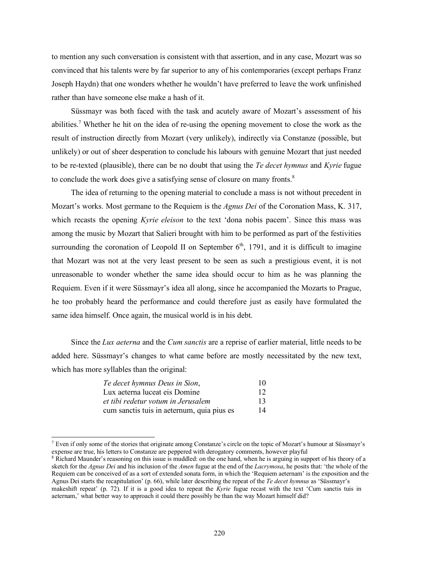to mention any such conversation is consistent with that assertion, and in any case, Mozart was so convinced that his talents were by far superior to any of his contemporaries (except perhaps Franz Joseph Haydn) that one wonders whether he wouldn't have preferred to leave the work unfinished rather than have someone else make a hash of it.

Süssmayr was both faced with the task and acutely aware of Mozart's assessment of his abilities. <sup>7</sup> Whether he hit on the idea of re-using the opening movement to close the work as the result of instruction directly from Mozart (very unlikely), indirectly via Constanze (possible, but unlikely) or out of sheer desperation to conclude his labours with genuine Mozart that just needed to be re-texted (plausible), there can be no doubt that using the *Te decet hymnus* and *Kyrie* fugue to conclude the work does give a satisfying sense of closure on many fronts.<sup>8</sup>

The idea of returning to the opening material to conclude a mass is not without precedent in Mozart's works. Most germane to the Requiem is the *Agnus Dei* of the Coronation Mass, K. 317, which recasts the opening *Kyrie eleison* to the text 'dona nobis pacem'. Since this mass was among the music by Mozart that Salieri brought with him to be performed as part of the festivities surrounding the coronation of Leopold II on September  $6<sup>th</sup>$ , 1791, and it is difficult to imagine that Mozart was not at the very least present to be seen as such a prestigious event, it is not unreasonable to wonder whether the same idea should occur to him as he was planning the Requiem. Even if it were Süssmayr's idea all along, since he accompanied the Mozarts to Prague, he too probably heard the performance and could therefore just as easily have formulated the same idea himself. Once again, the musical world is in his debt.

Since the *Lux aeterna* and the *Cum sanctis* are a reprise of earlier material, little needs to be added here. Süssmayr's changes to what came before are mostly necessitated by the new text, which has more syllables than the original:

| Te decet hymnus Deus in Sion,<br>Lux aeterna luceat eis Domine<br>et tibi redetur votum in Jerusalem<br>cum sanctis tuis in aeternum, quia pius es | 10<br>12<br>13<br>14 |
|----------------------------------------------------------------------------------------------------------------------------------------------------|----------------------|
|----------------------------------------------------------------------------------------------------------------------------------------------------|----------------------|

 $\overline{a}$ 

<sup>7</sup> Even if only some of the stories that originate among Constanze's circle on the topic of Mozart's humour at Süssmayr's expense are true, his letters to Constanze are peppered with derogatory comments, however playful

<sup>&</sup>lt;sup>8</sup> Richard Maunder's reasoning on this issue is muddled: on the one hand, when he is arguing in support of his theory of a sketch for the *Agnus Dei* and his inclusion of the *Amen* fugue at the end of the *Lacrymosa*, he posits that: 'the whole of the Requiem can be conceived of as a sort of extended sonata form, in which the 'Requiem aeternam' is the exposition and the Agnus Dei starts the recapitulation' (p. 66), while later describing the repeat of the *Te decet hymnus* as 'Süssmayr's makeshift repeat' (p. 72). If it is a good idea to repeat the *Kyrie* fugue recast with the text 'Cum sanctis tuis in aeternam,' what better way to approach it could there possibly be than the way Mozart himself did?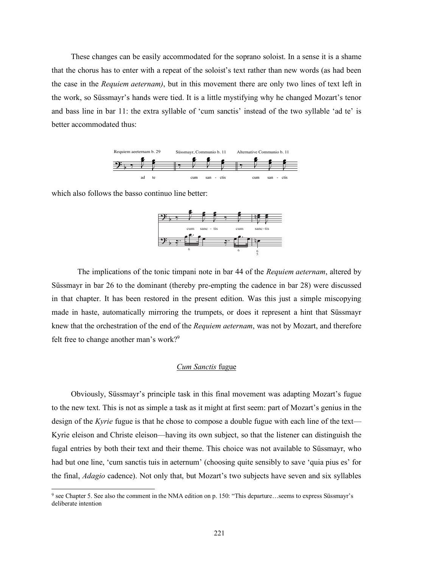These changes can be easily accommodated for the soprano soloist. In a sense it is a shame that the chorus has to enter with a repeat of the soloist's text rather than new words (as had been the case in the *Requiem aeternam)*, but in this movement there are only two lines of text left in the work, so Süssmayr's hands were tied. It is a little mystifying why he changed Mozart's tenor and bass line in bar 11: the extra syllable of 'cum sanctis' instead of the two syllable 'ad te' is better accommodated thus:



which also follows the basso continuo line better:

 $\overline{a}$ 



The implications of the tonic timpani note in bar 44 of the *Requiem aeternam*, altered by Süssmayr in bar 26 to the dominant (thereby pre-empting the cadence in bar 28) were discussed in that chapter. It has been restored in the present edition. Was this just a simple miscopying made in haste, automatically mirroring the trumpets, or does it represent a hint that Süssmayr knew that the orchestration of the end of the *Requiem aeternam*, was not by Mozart, and therefore felt free to change another man's work?<sup>9</sup>

## *Cum Sanctis* fugue

Obviously, Süssmayr's principle task in this final movement was adapting Mozart's fugue to the new text. This is not as simple a task as it might at first seem: part of Mozart's genius in the design of the *Kyrie* fugue is that he chose to compose a double fugue with each line of the text— Kyrie eleison and Christe eleison—having its own subject, so that the listener can distinguish the fugal entries by both their text and their theme. This choice was not available to Süssmayr, who had but one line, 'cum sanctis tuis in aeternum' (choosing quite sensibly to save 'quia pius es' for the final, *Adagio* cadence). Not only that, but Mozart's two subjects have seven and six syllables

<sup>9</sup> see Chapter 5. See also the comment in the NMA edition on p. 150: "This departure…seems to express Süssmayr's deliberate intention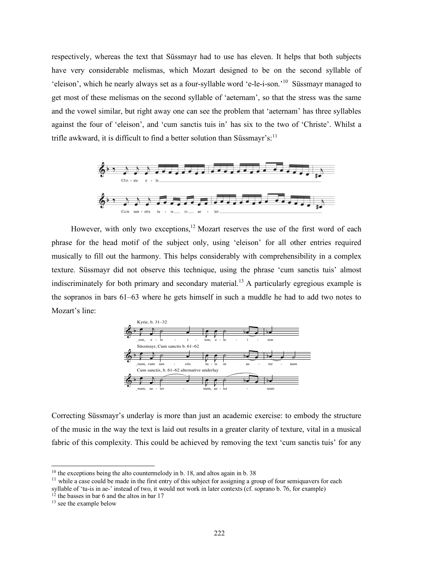respectively, whereas the text that Süssmayr had to use has eleven. It helps that both subjects have very considerable melismas, which Mozart designed to be on the second syllable of 'eleison', which he nearly always set as a four-syllable word 'e-le-i-son.'<sup>10</sup> Süssmayr managed to get most of these melismas on the second syllable of 'aeternam', so that the stress was the same and the vowel similar, but right away one can see the problem that 'aeternam' has three syllables against the four of 'eleison', and 'cum sanctis tuis in' has six to the two of 'Christe'. Whilst a trifle awkward, it is difficult to find a better solution than Süssmayr's:<sup>11</sup>



However, with only two exceptions, $12$  Mozart reserves the use of the first word of each phrase for the head motif of the subject only, using 'eleison' for all other entries required musically to fill out the harmony. This helps considerably with comprehensibility in a complex texture. Süssmayr did not observe this technique, using the phrase 'cum sanctis tuis' almost indiscriminately for both primary and secondary material. <sup>13</sup> A particularly egregious example is the sopranos in bars 61–63 where he gets himself in such a muddle he had to add two notes to Mozart's line:



Correcting Süssmayr's underlay is more than just an academic exercise: to embody the structure of the music in the way the text is laid out results in a greater clarity of texture, vital in a musical fabric of this complexity. This could be achieved by removing the text 'cum sanctis tuis' for any

l

<sup>&</sup>lt;sup>10</sup> the exceptions being the alto countermelody in b. 18, and altos again in b. 38

 $11$  while a case could be made in the first entry of this subject for assigning a group of four semiquavers for each

syllable of 'tu-is in ae-' instead of two, it would not work in later contexts (cf. soprano b. 76, for example)

<sup>&</sup>lt;sup>12</sup> the basses in bar 6 and the altos in bar 17

<sup>&</sup>lt;sup>13</sup> see the example below